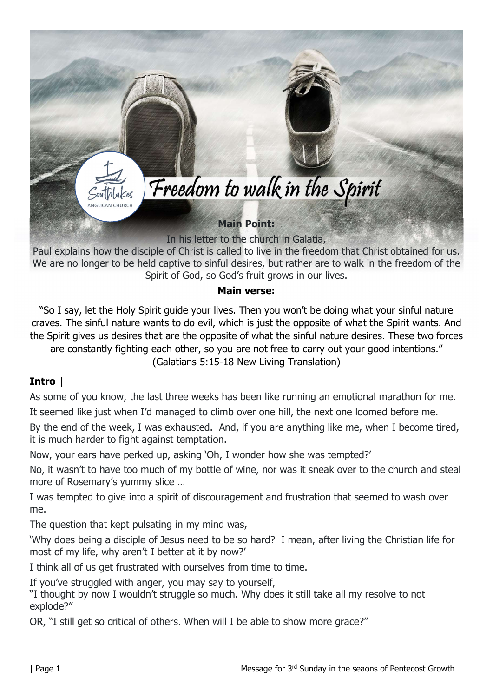

We are no longer to be held captive to sinful desires, but rather are to walk in the freedom of the Spirit of God, so God's fruit grows in our lives.

#### Main verse:

"So I say, let the Holy Spirit guide your lives. Then you won't be doing what your sinful nature craves. The sinful nature wants to do evil, which is just the opposite of what the Spirit wants. And the Spirit gives us desires that are the opposite of what the sinful nature desires. These two forces are constantly fighting each other, so you are not free to carry out your good intentions." (Galatians 5:15-18 New Living Translation)

### Intro |

As some of you know, the last three weeks has been like running an emotional marathon for me. It seemed like just when I'd managed to climb over one hill, the next one loomed before me.

By the end of the week, I was exhausted. And, if you are anything like me, when I become tired, it is much harder to fight against temptation.

Now, your ears have perked up, asking 'Oh, I wonder how she was tempted?'

No, it wasn't to have too much of my bottle of wine, nor was it sneak over to the church and steal more of Rosemary's yummy slice …

I was tempted to give into a spirit of discouragement and frustration that seemed to wash over me.

The question that kept pulsating in my mind was,

'Why does being a disciple of Jesus need to be so hard? I mean, after living the Christian life for most of my life, why aren't I better at it by now?'

I think all of us get frustrated with ourselves from time to time.

If you've struggled with anger, you may say to yourself,

"I thought by now I wouldn't struggle so much. Why does it still take all my resolve to not explode?"

OR, "I still get so critical of others. When will I be able to show more grace?"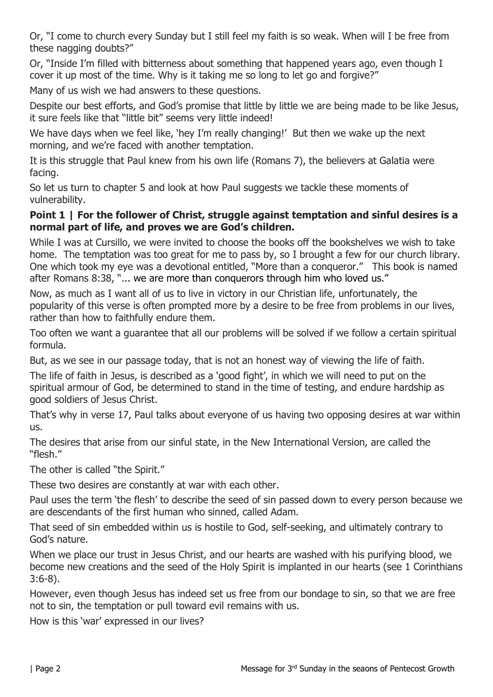Or, "I come to church every Sunday but I still feel my faith is so weak. When will I be free from these nagging doubts?"

Or, "Inside I'm filled with bitterness about something that happened years ago, even though I cover it up most of the time. Why is it taking me so long to let go and forgive?"

Many of us wish we had answers to these questions.

Despite our best efforts, and God's promise that little by little we are being made to be like Jesus, it sure feels like that "little bit" seems very little indeed!

We have days when we feel like, 'hey I'm really changing!' But then we wake up the next morning, and we're faced with another temptation.

It is this struggle that Paul knew from his own life (Romans 7), the believers at Galatia were facing.

So let us turn to chapter 5 and look at how Paul suggests we tackle these moments of vulnerability.

### Point 1 | For the follower of Christ, struggle against temptation and sinful desires is a normal part of life, and proves we are God's children.

While I was at Cursillo, we were invited to choose the books off the bookshelves we wish to take home. The temptation was too great for me to pass by, so I brought a few for our church library. One which took my eye was a devotional entitled, "More than a conqueror." This book is named after Romans 8:38, "... we are more than conquerors through him who loved us."

Now, as much as I want all of us to live in victory in our Christian life, unfortunately, the popularity of this verse is often prompted more by a desire to be free from problems in our lives, rather than how to faithfully endure them.

Too often we want a guarantee that all our problems will be solved if we follow a certain spiritual formula.

But, as we see in our passage today, that is not an honest way of viewing the life of faith.

The life of faith in Jesus, is described as a 'good fight', in which we will need to put on the spiritual armour of God, be determined to stand in the time of testing, and endure hardship as good soldiers of Jesus Christ.

That's why in verse 17, Paul talks about everyone of us having two opposing desires at war within us.

The desires that arise from our sinful state, in the New International Version, are called the "flesh."

The other is called "the Spirit."

These two desires are constantly at war with each other.

Paul uses the term 'the flesh' to describe the seed of sin passed down to every person because we are descendants of the first human who sinned, called Adam.

That seed of sin embedded within us is hostile to God, self-seeking, and ultimately contrary to God's nature.

When we place our trust in Jesus Christ, and our hearts are washed with his purifying blood, we become new creations and the seed of the Holy Spirit is implanted in our hearts (see 1 Corinthians 3:6-8).

However, even though Jesus has indeed set us free from our bondage to sin, so that we are free not to sin, the temptation or pull toward evil remains with us.

How is this 'war' expressed in our lives?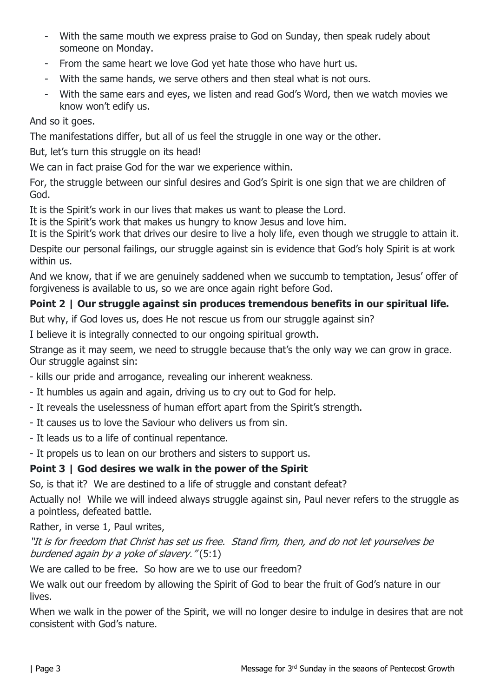- With the same mouth we express praise to God on Sunday, then speak rudely about someone on Monday.
- From the same heart we love God yet hate those who have hurt us.
- With the same hands, we serve others and then steal what is not ours.
- With the same ears and eyes, we listen and read God's Word, then we watch movies we know won't edify us.

And so it goes.

The manifestations differ, but all of us feel the struggle in one way or the other.

But, let's turn this struggle on its head!

We can in fact praise God for the war we experience within.

For, the struggle between our sinful desires and God's Spirit is one sign that we are children of God.

It is the Spirit's work in our lives that makes us want to please the Lord.

It is the Spirit's work that makes us hungry to know Jesus and love him.

It is the Spirit's work that drives our desire to live a holy life, even though we struggle to attain it. Despite our personal failings, our struggle against sin is evidence that God's holy Spirit is at work within us.

And we know, that if we are genuinely saddened when we succumb to temptation, Jesus' offer of forgiveness is available to us, so we are once again right before God.

# Point 2 | Our struggle against sin produces tremendous benefits in our spiritual life.

But why, if God loves us, does He not rescue us from our struggle against sin?

I believe it is integrally connected to our ongoing spiritual growth.

Strange as it may seem, we need to struggle because that's the only way we can grow in grace. Our struggle against sin:

- kills our pride and arrogance, revealing our inherent weakness.

- It humbles us again and again, driving us to cry out to God for help.
- It reveals the uselessness of human effort apart from the Spirit's strength.
- It causes us to love the Saviour who delivers us from sin.
- It leads us to a life of continual repentance.
- It propels us to lean on our brothers and sisters to support us.

# Point 3 | God desires we walk in the power of the Spirit

So, is that it? We are destined to a life of struggle and constant defeat?

Actually no! While we will indeed always struggle against sin, Paul never refers to the struggle as a pointless, defeated battle.

Rather, in verse 1, Paul writes,

## "It is for freedom that Christ has set us free. Stand firm, then, and do not let yourselves be burdened again by a yoke of slavery." (5:1)

We are called to be free. So how are we to use our freedom?

We walk out our freedom by allowing the Spirit of God to bear the fruit of God's nature in our lives.

When we walk in the power of the Spirit, we will no longer desire to indulge in desires that are not consistent with God's nature.